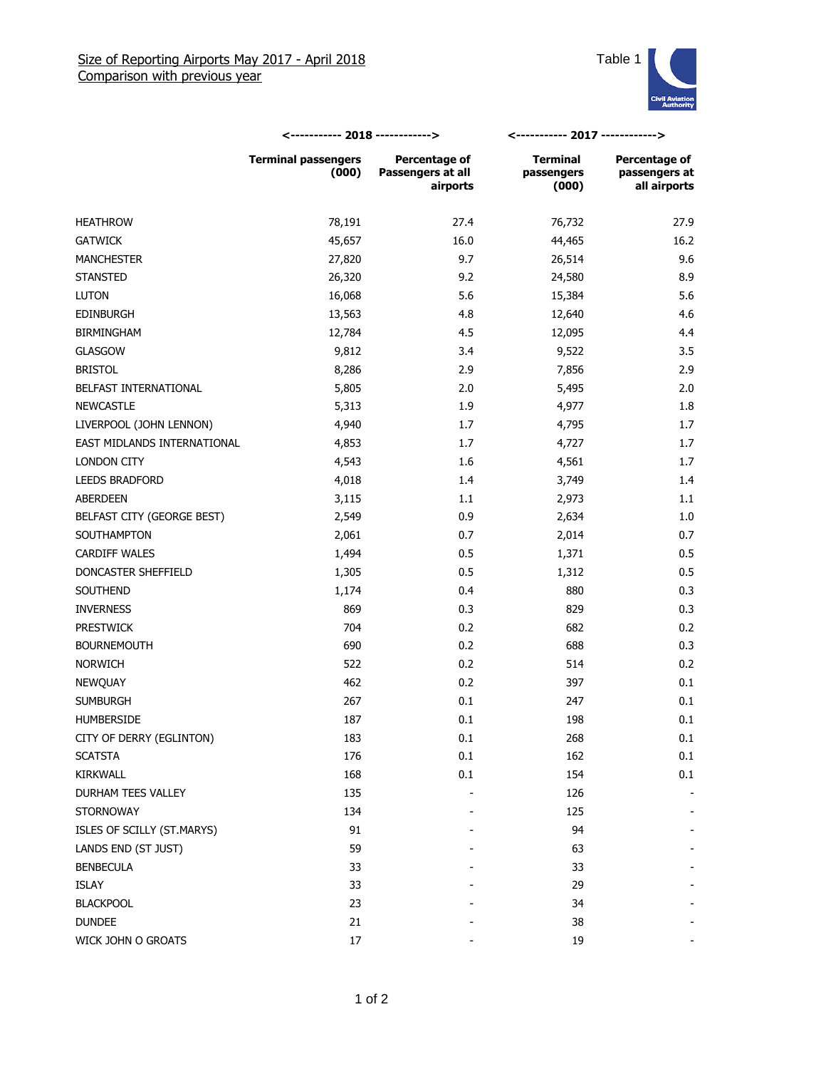

|                             | <----------- 2018 ------------>     |                                                | <----------- 2017 ------------>        |                                                |
|-----------------------------|-------------------------------------|------------------------------------------------|----------------------------------------|------------------------------------------------|
|                             | <b>Terminal passengers</b><br>(000) | Percentage of<br>Passengers at all<br>airports | <b>Terminal</b><br>passengers<br>(000) | Percentage of<br>passengers at<br>all airports |
| <b>HEATHROW</b>             | 78,191                              | 27.4                                           | 76,732                                 | 27.9                                           |
| <b>GATWICK</b>              | 45,657                              | 16.0                                           | 44,465                                 | 16.2                                           |
| <b>MANCHESTER</b>           | 27,820                              | 9.7                                            | 26,514                                 | 9.6                                            |
| <b>STANSTED</b>             | 26,320                              | 9.2                                            | 24,580                                 | 8.9                                            |
| <b>LUTON</b>                | 16,068                              | 5.6                                            | 15,384                                 | 5.6                                            |
| <b>EDINBURGH</b>            | 13,563                              | 4.8                                            | 12,640                                 | 4.6                                            |
| <b>BIRMINGHAM</b>           | 12,784                              | 4.5                                            | 12,095                                 | 4.4                                            |
| <b>GLASGOW</b>              | 9,812                               | 3.4                                            | 9,522                                  | 3.5                                            |
| <b>BRISTOL</b>              | 8,286                               | 2.9                                            | 7,856                                  | 2.9                                            |
| BELFAST INTERNATIONAL       | 5,805                               | 2.0                                            | 5,495                                  | 2.0                                            |
| <b>NEWCASTLE</b>            | 5,313                               | 1.9                                            | 4,977                                  | 1.8                                            |
| LIVERPOOL (JOHN LENNON)     | 4,940                               | 1.7                                            | 4,795                                  | 1.7                                            |
| EAST MIDLANDS INTERNATIONAL | 4,853                               | 1.7                                            | 4,727                                  | 1.7                                            |
| <b>LONDON CITY</b>          | 4,543                               | 1.6                                            | 4,561                                  | 1.7                                            |
| <b>LEEDS BRADFORD</b>       | 4,018                               | 1.4                                            | 3,749                                  | 1.4                                            |
| ABERDEEN                    | 3,115                               | 1.1                                            | 2,973                                  | 1.1                                            |
| BELFAST CITY (GEORGE BEST)  | 2,549                               | 0.9                                            | 2,634                                  | 1.0                                            |
| SOUTHAMPTON                 | 2,061                               | 0.7                                            | 2,014                                  | 0.7                                            |
| <b>CARDIFF WALES</b>        | 1,494                               | 0.5                                            | 1,371                                  | 0.5                                            |
| DONCASTER SHEFFIELD         | 1,305                               | 0.5                                            | 1,312                                  | 0.5                                            |
| SOUTHEND                    | 1,174                               | 0.4                                            | 880                                    | 0.3                                            |
| <b>INVERNESS</b>            | 869                                 | 0.3                                            | 829                                    | 0.3                                            |
| <b>PRESTWICK</b>            | 704                                 | 0.2                                            | 682                                    | 0.2                                            |
| <b>BOURNEMOUTH</b>          | 690                                 | 0.2                                            | 688                                    | 0.3                                            |
| <b>NORWICH</b>              | 522                                 | 0.2                                            | 514                                    | 0.2                                            |
| NEWQUAY                     | 462                                 | 0.2                                            | 397                                    | 0.1                                            |
| <b>SUMBURGH</b>             | 267                                 | 0.1                                            | 247                                    | 0.1                                            |
| <b>HUMBERSIDE</b>           | 187                                 | 0.1                                            | 198                                    | 0.1                                            |
| CITY OF DERRY (EGLINTON)    | 183                                 | $0.1\,$                                        | 268                                    | 0.1                                            |
| <b>SCATSTA</b>              | 176                                 | 0.1                                            | 162                                    | 0.1                                            |
| KIRKWALL                    | 168                                 | 0.1                                            | 154                                    | 0.1                                            |
| DURHAM TEES VALLEY          | 135                                 |                                                | 126                                    |                                                |
| <b>STORNOWAY</b>            | 134                                 |                                                | 125                                    |                                                |
| ISLES OF SCILLY (ST.MARYS)  | 91                                  |                                                | 94                                     |                                                |
| LANDS END (ST JUST)         | 59                                  |                                                | 63                                     |                                                |
| <b>BENBECULA</b>            | 33                                  |                                                | 33                                     |                                                |
| ISLAY                       | 33                                  |                                                | 29                                     |                                                |
| <b>BLACKPOOL</b>            | 23                                  |                                                | 34                                     |                                                |
| <b>DUNDEE</b>               | 21                                  |                                                | 38                                     |                                                |
| WICK JOHN O GROATS          | 17                                  |                                                | 19                                     |                                                |